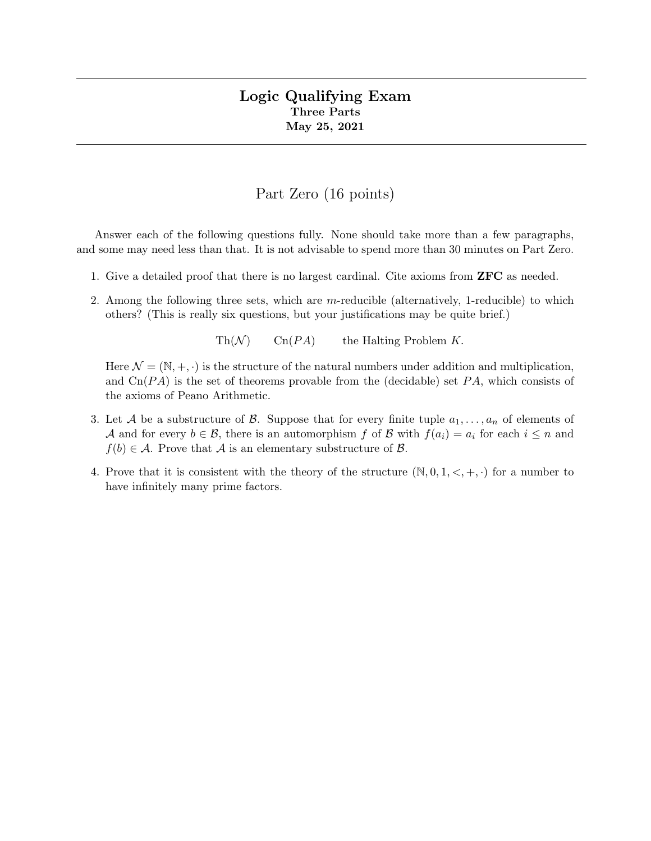## Logic Qualifying Exam Three Parts May 25, 2021

## Part Zero (16 points)

Answer each of the following questions fully. None should take more than a few paragraphs, and some may need less than that. It is not advisable to spend more than 30 minutes on Part Zero.

- 1. Give a detailed proof that there is no largest cardinal. Cite axioms from ZFC as needed.
- 2. Among the following three sets, which are m-reducible (alternatively, 1-reducible) to which others? (This is really six questions, but your justifications may be quite brief.)

 $\text{Th}(\mathcal{N})$   $\text{Cn}(PA)$  the Halting Problem K.

Here  $\mathcal{N} = (\mathbb{N}, +, \cdot)$  is the structure of the natural numbers under addition and multiplication, and  $\text{Cn}(PA)$  is the set of theorems provable from the (decidable) set PA, which consists of the axioms of Peano Arithmetic.

- 3. Let A be a substructure of B. Suppose that for every finite tuple  $a_1, \ldots, a_n$  of elements of A and for every  $b \in \mathcal{B}$ , there is an automorphism f of B with  $f(a_i) = a_i$  for each  $i \leq n$  and  $f(b) \in \mathcal{A}$ . Prove that  $\mathcal A$  is an elementary substructure of  $\mathcal B$ .
- 4. Prove that it is consistent with the theory of the structure  $(N, 0, 1, \langle, +, \cdot)$  for a number to have infinitely many prime factors.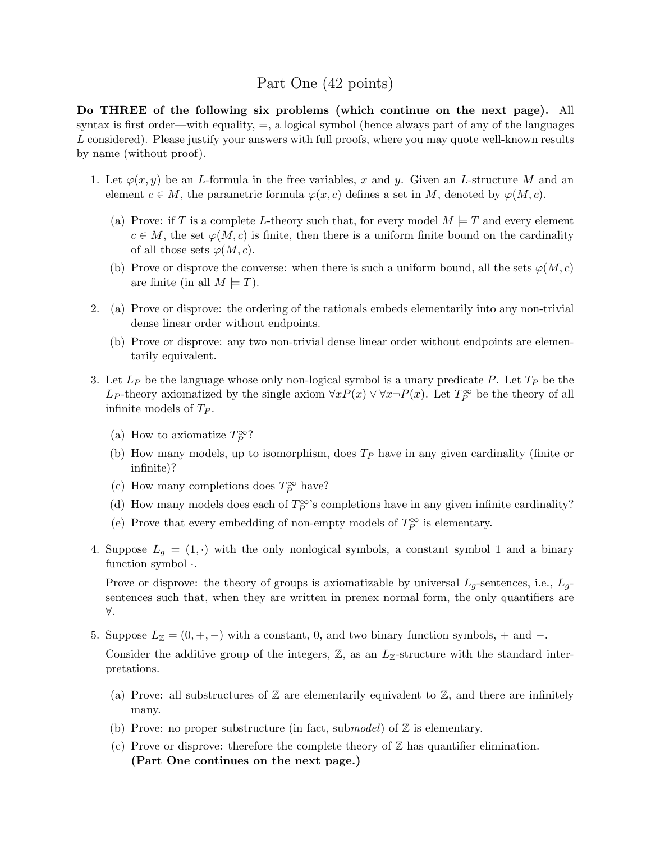# Part One (42 points)

Do THREE of the following six problems (which continue on the next page). All syntax is first order—with equality,  $=$ , a logical symbol (hence always part of any of the languages L considered). Please justify your answers with full proofs, where you may quote well-known results by name (without proof).

- 1. Let  $\varphi(x, y)$  be an L-formula in the free variables, x and y. Given an L-structure M and an element  $c \in M$ , the parametric formula  $\varphi(x, c)$  defines a set in M, denoted by  $\varphi(M, c)$ .
	- (a) Prove: if T is a complete L-theory such that, for every model  $M \models T$  and every element  $c \in M$ , the set  $\varphi(M, c)$  is finite, then there is a uniform finite bound on the cardinality of all those sets  $\varphi(M, c)$ .
	- (b) Prove or disprove the converse: when there is such a uniform bound, all the sets  $\varphi(M, c)$ are finite (in all  $M \models T$ ).
- 2. (a) Prove or disprove: the ordering of the rationals embeds elementarily into any non-trivial dense linear order without endpoints.
	- (b) Prove or disprove: any two non-trivial dense linear order without endpoints are elementarily equivalent.
- 3. Let  $L_P$  be the language whose only non-logical symbol is a unary predicate P. Let  $T_P$  be the L<sub>P</sub>-theory axiomatized by the single axiom  $\forall x P(x) \lor \forall x \neg P(x)$ . Let  $T_P^{\infty}$  be the theory of all infinite models of  $T_P$ .
	- (a) How to axiomatize  $T_P^{\infty}$ ?
	- (b) How many models, up to isomorphism, does  $T_P$  have in any given cardinality (finite or infinite)?
	- (c) How many completions does  $T_P^\infty$  have?
	- (d) How many models does each of  $T_P^{\infty}$ 's completions have in any given infinite cardinality?
	- (e) Prove that every embedding of non-empty models of  $T_P^{\infty}$  is elementary.
- 4. Suppose  $L_q = (1, \cdot)$  with the only nonlogical symbols, a constant symbol 1 and a binary function symbol ·.

Prove or disprove: the theory of groups is axiomatizable by universal  $L_q$ -sentences, i.e.,  $L_q$ sentences such that, when they are written in prenex normal form, the only quantifiers are ∀.

5. Suppose  $L_{\mathbb{Z}} = (0, +, -)$  with a constant, 0, and two binary function symbols, + and -.

Consider the additive group of the integers,  $\mathbb{Z}$ , as an  $L_{\mathbb{Z}}$ -structure with the standard interpretations.

- (a) Prove: all substructures of  $\mathbb Z$  are elementarily equivalent to  $\mathbb Z$ , and there are infinitely many.
- (b) Prove: no proper substructure (in fact, submodel) of  $\mathbb Z$  is elementary.
- (c) Prove or disprove: therefore the complete theory of  $\mathbb Z$  has quantifier elimination. (Part One continues on the next page.)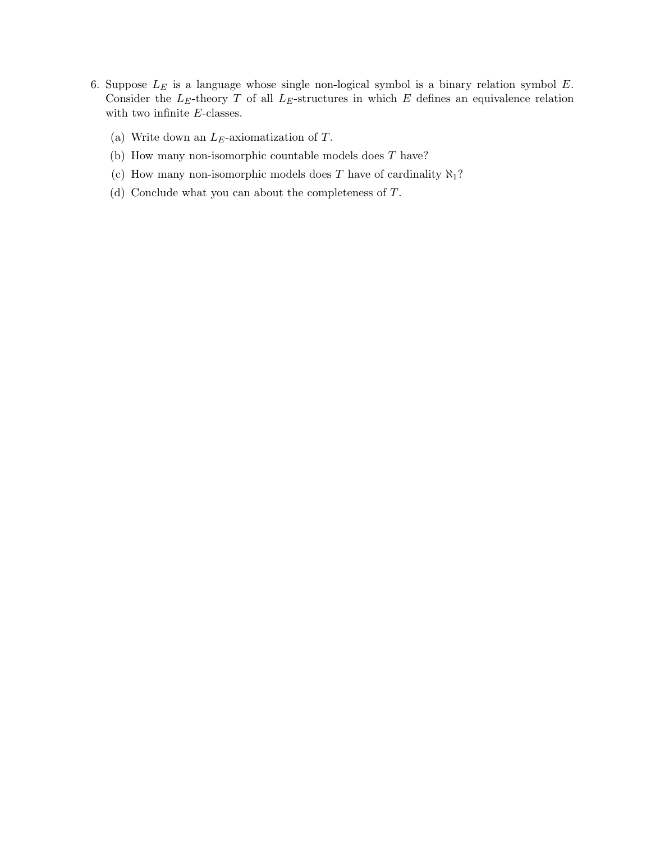- 6. Suppose  $L<sub>E</sub>$  is a language whose single non-logical symbol is a binary relation symbol  $E$ . Consider the  $L_E$ -theory T of all  $L_E$ -structures in which E defines an equivalence relation with two infinite  $E$ -classes.
	- (a) Write down an  $L_E$ -axiomatization of T.
	- (b) How many non-isomorphic countable models does T have?
	- (c) How many non-isomorphic models does T have of cardinality  $\aleph_1$ ?
	- (d) Conclude what you can about the completeness of T.